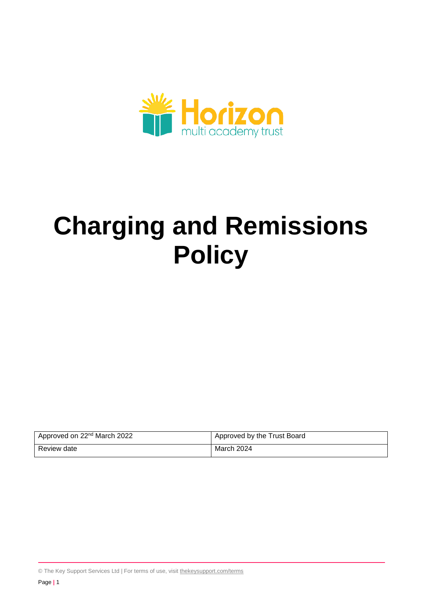

# **Charging and Remissions Policy**

| Approved on 22 <sup>nd</sup> March 2022 | Approved by the Trust Board |
|-----------------------------------------|-----------------------------|
| Review date                             | March 2024                  |

© The Key Support Services Ltd | For terms of use, visit [thekeysupport.com/terms](https://thekeysupport.com/terms-of-use)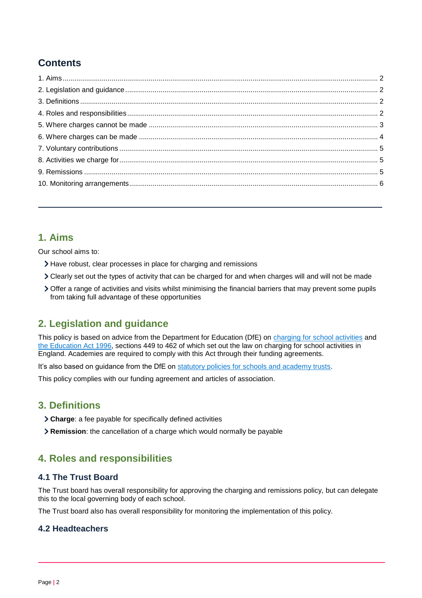# **Contents**

# <span id="page-1-0"></span>**1. Aims**

Our school aims to:

- Have robust, clear processes in place for charging and remissions
- Clearly set out the types of activity that can be charged for and when charges will and will not be made
- Offer a range of activities and visits whilst minimising the financial barriers that may prevent some pupils from taking full advantage of these opportunities

# <span id="page-1-1"></span>**2. Legislation and guidance**

This policy is based on advice from the Department for Education (DfE) on [charging for school activities](https://www.gov.uk/government/publications/charging-for-school-activities) and [the Education Act 1996,](http://www.legislation.gov.uk/ukpga/1996/56/part/VI/chapter/III) sections 449 to 462 of which set out the law on charging for school activities in England. Academies are required to comply with this Act through their funding agreements.

It's also based on guidance from the DfE on [statutory policies for schools and academy trusts.](https://www.gov.uk/government/publications/statutory-policies-for-schools-and-academy-trusts/statutory-policies-for-schools-and-academy-trusts)

This policy complies with our funding agreement and articles of association.

# <span id="page-1-2"></span>**3. Definitions**

- **Charge**: a fee payable for specifically defined activities
- **Remission**: the cancellation of a charge which would normally be payable

# <span id="page-1-3"></span>**4. Roles and responsibilities**

#### **4.1 The Trust Board**

The Trust board has overall responsibility for approving the charging and remissions policy, but can delegate this to the local governing body of each school.

The Trust board also has overall responsibility for monitoring the implementation of this policy.

#### **4.2 Headteachers**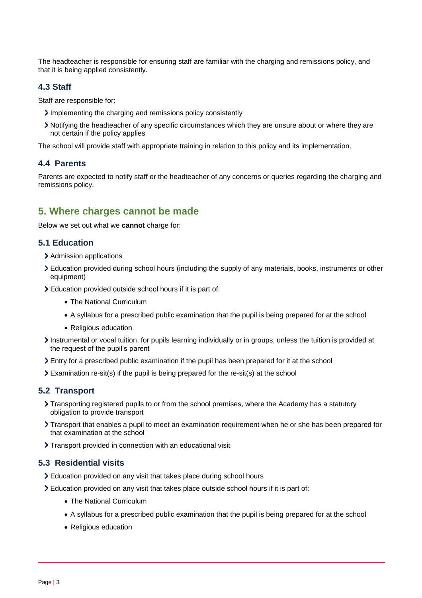The headteacher is responsible for ensuring staff are familiar with the charging and remissions policy, and that it is being applied consistently.

#### **4.3 Staff**

Staff are responsible for:

- Implementing the charging and remissions policy consistently
- Notifying the headteacher of any specific circumstances which they are unsure about or where they are not certain if the policy applies

The school will provide staff with appropriate training in relation to this policy and its implementation.

#### **4.4 Parents**

Parents are expected to notify staff or the headteacher of any concerns or queries regarding the charging and remissions policy.

# <span id="page-2-0"></span>**5. Where charges cannot be made**

Below we set out what we **cannot** charge for:

#### **5.1 Education**

- > Admission applications
- Education provided during school hours (including the supply of any materials, books, instruments or other equipment)
- Education provided outside school hours if it is part of:
	- The National Curriculum
	- A syllabus for a prescribed public examination that the pupil is being prepared for at the school
	- Religious education
- Instrumental or vocal tuition, for pupils learning individually or in groups, unless the tuition is provided at the request of the pupil's parent
- Entry for a prescribed public examination if the pupil has been prepared for it at the school
- Examination re-sit(s) if the pupil is being prepared for the re-sit(s) at the school

#### **5.2 Transport**

- Transporting registered pupils to or from the school premises, where the Academy has a statutory obligation to provide transport
- Transport that enables a pupil to meet an examination requirement when he or she has been prepared for that examination at the school
- Transport provided in connection with an educational visit

#### **5.3 Residential visits**

- Education provided on any visit that takes place during school hours
- Education provided on any visit that takes place outside school hours if it is part of:
	- The National Curriculum
	- A syllabus for a prescribed public examination that the pupil is being prepared for at the school
	- Religious education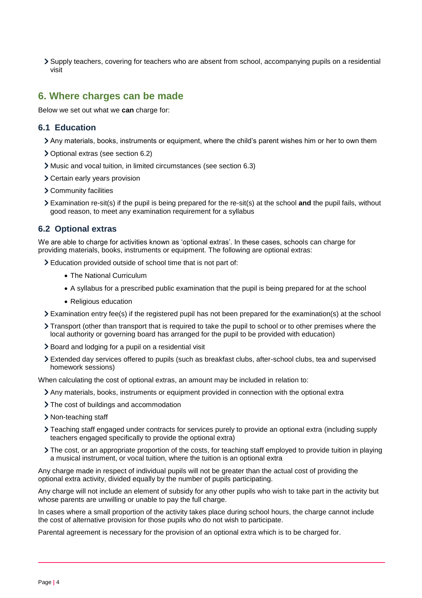Supply teachers, covering for teachers who are absent from school, accompanying pupils on a residential visit

## <span id="page-3-0"></span>**6. Where charges can be made**

Below we set out what we **can** charge for:

#### **6.1 Education**

- Any materials, books, instruments or equipment, where the child's parent wishes him or her to own them
- Optional extras (see section 6.2)
- Music and vocal tuition, in limited circumstances (see section 6.3)
- Certain early years provision
- Community facilities
- Examination re-sit(s) if the pupil is being prepared for the re-sit(s) at the school **and** the pupil fails, without good reason, to meet any examination requirement for a syllabus

#### **6.2 Optional extras**

We are able to charge for activities known as 'optional extras'. In these cases, schools can charge for providing materials, books, instruments or equipment. The following are optional extras:

Education provided outside of school time that is not part of:

- The National Curriculum
- A syllabus for a prescribed public examination that the pupil is being prepared for at the school
- Religious education
- Examination entry fee(s) if the registered pupil has not been prepared for the examination(s) at the school
- Transport (other than transport that is required to take the pupil to school or to other premises where the local authority or governing board has arranged for the pupil to be provided with education)
- > Board and lodging for a pupil on a residential visit
- Extended day services offered to pupils (such as breakfast clubs, after-school clubs, tea and supervised homework sessions)

When calculating the cost of optional extras, an amount may be included in relation to:

- Any materials, books, instruments or equipment provided in connection with the optional extra
- The cost of buildings and accommodation
- > Non-teaching staff
- Teaching staff engaged under contracts for services purely to provide an optional extra (including supply teachers engaged specifically to provide the optional extra)
- The cost, or an appropriate proportion of the costs, for teaching staff employed to provide tuition in playing a musical instrument, or vocal tuition, where the tuition is an optional extra

Any charge made in respect of individual pupils will not be greater than the actual cost of providing the optional extra activity, divided equally by the number of pupils participating.

Any charge will not include an element of subsidy for any other pupils who wish to take part in the activity but whose parents are unwilling or unable to pay the full charge.

In cases where a small proportion of the activity takes place during school hours, the charge cannot include the cost of alternative provision for those pupils who do not wish to participate.

Parental agreement is necessary for the provision of an optional extra which is to be charged for.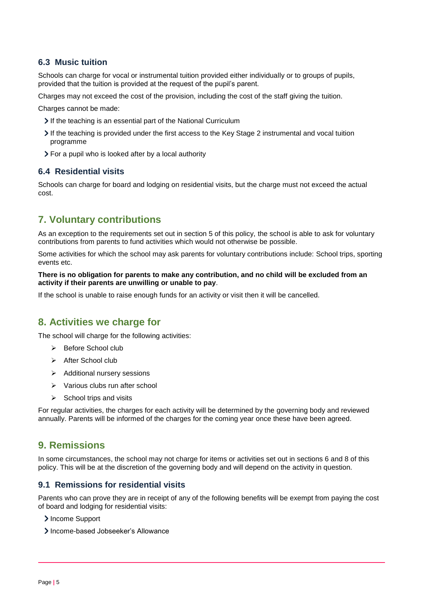#### **6.3 Music tuition**

Schools can charge for vocal or instrumental tuition provided either individually or to groups of pupils, provided that the tuition is provided at the request of the pupil's parent.

Charges may not exceed the cost of the provision, including the cost of the staff giving the tuition.

Charges cannot be made:

- If the teaching is an essential part of the National Curriculum
- If the teaching is provided under the first access to the Key Stage 2 instrumental and vocal tuition programme
- For a pupil who is looked after by a local authority

#### **6.4 Residential visits**

Schools can charge for board and lodging on residential visits, but the charge must not exceed the actual cost.

# <span id="page-4-0"></span>**7. Voluntary contributions**

As an exception to the requirements set out in section 5 of this policy, the school is able to ask for voluntary contributions from parents to fund activities which would not otherwise be possible.

Some activities for which the school may ask parents for voluntary contributions include: School trips, sporting events etc.

#### **There is no obligation for parents to make any contribution, and no child will be excluded from an activity if their parents are unwilling or unable to pay**.

If the school is unable to raise enough funds for an activity or visit then it will be cancelled.

# <span id="page-4-1"></span>**8. Activities we charge for**

The school will charge for the following activities:

- $\triangleright$  Before School club
- > After School club
- $\triangleright$  Additional nursery sessions
- $\triangleright$  Various clubs run after school
- $\triangleright$  School trips and visits

For regular activities, the charges for each activity will be determined by the governing body and reviewed annually. Parents will be informed of the charges for the coming year once these have been agreed.

### <span id="page-4-2"></span>**9. Remissions**

In some circumstances, the school may not charge for items or activities set out in sections 6 and 8 of this policy. This will be at the discretion of the governing body and will depend on the activity in question.

#### **9.1 Remissions for residential visits**

Parents who can prove they are in receipt of any of the following benefits will be exempt from paying the cost of board and lodging for residential visits:

- > Income Support
- > Income-based Jobseeker's Allowance